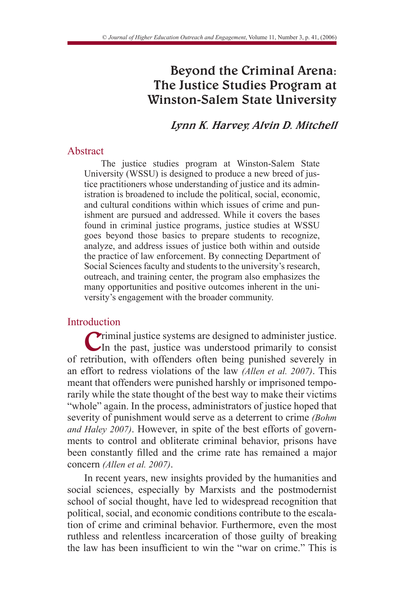# Beyond the Criminal Arena: The Justice Studies Program at Winston-Salem State University

# Lynn K. Harvey, Alvin D. Mitchell

## Abstract

The justice studies program at Winston-Salem State University (WSSU) is designed to produce a new breed of justice practitioners whose understanding of justice and its administration is broadened to include the political, social, economic, and cultural conditions within which issues of crime and punishment are pursued and addressed. While it covers the bases found in criminal justice programs, justice studies at WSSU goes beyond those basics to prepare students to recognize, analyze, and address issues of justice both within and outside the practice of law enforcement. By connecting Department of Social Sciences faculty and students to the university's research, outreach, and training center, the program also emphasizes the many opportunities and positive outcomes inherent in the university's engagement with the broader community.

# Introduction

Criminal justice systems are designed to administer justice. In the past, justice was understood primarily to consist of retribution, with offenders often being punished severely in an effort to redress violations of the law *(Allen et al. 2007)*. This meant that offenders were punished harshly or imprisoned temporarily while the state thought of the best way to make their victims "whole" again. In the process, administrators of justice hoped that severity of punishment would serve as a deterrent to crime *(Bohm and Haley 2007)*. However, in spite of the best efforts of governments to control and obliterate criminal behavior, prisons have been constantly filled and the crime rate has remained a major concern *(Allen et al. 2007)*.

In recent years, new insights provided by the humanities and social sciences, especially by Marxists and the postmodernist school of social thought, have led to widespread recognition that political, social, and economic conditions contribute to the escalation of crime and criminal behavior. Furthermore, even the most ruthless and relentless incarceration of those guilty of breaking the law has been insufficient to win the "war on crime." This is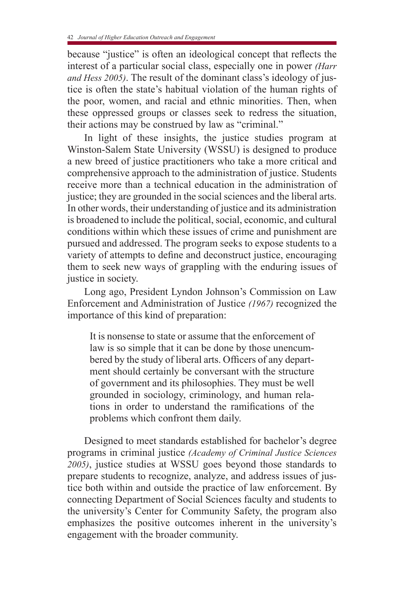because "justice" is often an ideological concept that reflects the interest of a particular social class, especially one in power *(Harr and Hess 2005)*. The result of the dominant class's ideology of justice is often the state's habitual violation of the human rights of the poor, women, and racial and ethnic minorities. Then, when these oppressed groups or classes seek to redress the situation, their actions may be construed by law as "criminal."

In light of these insights, the justice studies program at Winston-Salem State University (WSSU) is designed to produce a new breed of justice practitioners who take a more critical and comprehensive approach to the administration of justice. Students receive more than a technical education in the administration of justice; they are grounded in the social sciences and the liberal arts. In other words, their understanding of justice and its administration is broadened to include the political, social, economic, and cultural conditions within which these issues of crime and punishment are pursued and addressed. The program seeks to expose students to a variety of attempts to define and deconstruct justice, encouraging them to seek new ways of grappling with the enduring issues of justice in society.

Long ago, President Lyndon Johnson's Commission on Law Enforcement and Administration of Justice *(1967)* recognized the importance of this kind of preparation:

It is nonsense to state or assume that the enforcement of law is so simple that it can be done by those unencumbered by the study of liberal arts. Officers of any department should certainly be conversant with the structure of government and its philosophies. They must be well grounded in sociology, criminology, and human relations in order to understand the ramifications of the problems which confront them daily.

Designed to meet standards established for bachelor's degree programs in criminal justice *(Academy of Criminal Justice Sciences 2005)*, justice studies at WSSU goes beyond those standards to prepare students to recognize, analyze, and address issues of justice both within and outside the practice of law enforcement. By connecting Department of Social Sciences faculty and students to the university's Center for Community Safety, the program also emphasizes the positive outcomes inherent in the university's engagement with the broader community.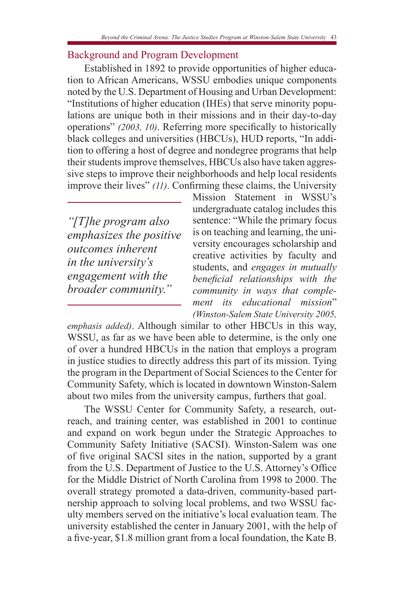# Background and Program Development

Established in 1892 to provide opportunities of higher education to African Americans, WSSU embodies unique components noted by the U.S. Department of Housing and Urban Development: "Institutions of higher education (IHEs) that serve minority populations are unique both in their missions and in their day-to-day operations" *(2003, 10)*. Referring more specifically to historically black colleges and universities (HBCUs), HUD reports, "In addition to offering a host of degree and nondegree programs that help their students improve themselves, HBCUs also have taken aggressive steps to improve their neighborhoods and help local residents improve their lives" *(11)*. Confirming these claims, the University

*"[T]he program also emphasizes the positive outcomes inherent in the university's engagement with the broader community."*

Mission Statement in WSSU's undergraduate catalog includes this sentence: "While the primary focus is on teaching and learning, the university encourages scholarship and creative activities by faculty and students, and *engages in mutually beneficial relationships with the community in ways that complement its educational mission*" *(Winston-Salem State University 2005,* 

*emphasis added)*. Although similar to other HBCUs in this way, WSSU, as far as we have been able to determine, is the only one of over a hundred HBCUs in the nation that employs a program in justice studies to directly address this part of its mission. Tying the program in the Department of Social Sciences to the Center for Community Safety, which is located in downtown Winston-Salem about two miles from the university campus, furthers that goal.

The WSSU Center for Community Safety, a research, outreach, and training center, was established in 2001 to continue and expand on work begun under the Strategic Approaches to Community Safety Initiative (SACSI). Winston-Salem was one of five original SACSI sites in the nation, supported by a grant from the U.S. Department of Justice to the U.S. Attorney's Office for the Middle District of North Carolina from 1998 to 2000. The overall strategy promoted a data-driven, community-based partnership approach to solving local problems, and two WSSU faculty members served on the initiative's local evaluation team. The university established the center in January 2001, with the help of a five-year, \$1.8 million grant from a local foundation, the Kate B.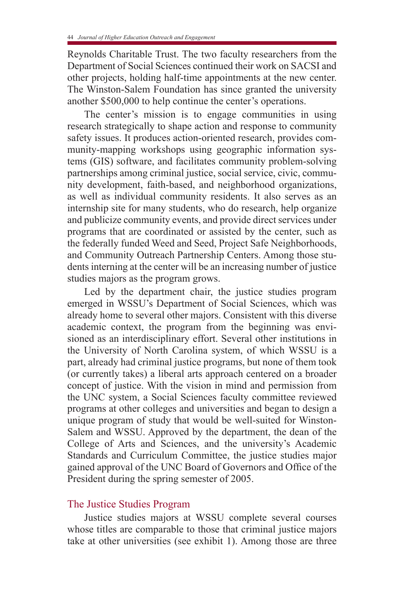Reynolds Charitable Trust. The two faculty researchers from the Department of Social Sciences continued their work on SACSI and other projects, holding half-time appointments at the new center. The Winston-Salem Foundation has since granted the university another \$500,000 to help continue the center's operations.

The center's mission is to engage communities in using research strategically to shape action and response to community safety issues. It produces action-oriented research, provides community-mapping workshops using geographic information systems (GIS) software, and facilitates community problem-solving partnerships among criminal justice, social service, civic, community development, faith-based, and neighborhood organizations, as well as individual community residents. It also serves as an internship site for many students, who do research, help organize and publicize community events, and provide direct services under programs that are coordinated or assisted by the center, such as the federally funded Weed and Seed, Project Safe Neighborhoods, and Community Outreach Partnership Centers. Among those students interning at the center will be an increasing number of justice studies majors as the program grows.

Led by the department chair, the justice studies program emerged in WSSU's Department of Social Sciences, which was already home to several other majors. Consistent with this diverse academic context, the program from the beginning was envisioned as an interdisciplinary effort. Several other institutions in the University of North Carolina system, of which WSSU is a part, already had criminal justice programs, but none of them took (or currently takes) a liberal arts approach centered on a broader concept of justice. With the vision in mind and permission from the UNC system, a Social Sciences faculty committee reviewed programs at other colleges and universities and began to design a unique program of study that would be well-suited for Winston-Salem and WSSU. Approved by the department, the dean of the College of Arts and Sciences, and the university's Academic Standards and Curriculum Committee, the justice studies major gained approval of the UNC Board of Governors and Office of the President during the spring semester of 2005.

# The Justice Studies Program

Justice studies majors at WSSU complete several courses whose titles are comparable to those that criminal justice majors take at other universities (see exhibit 1). Among those are three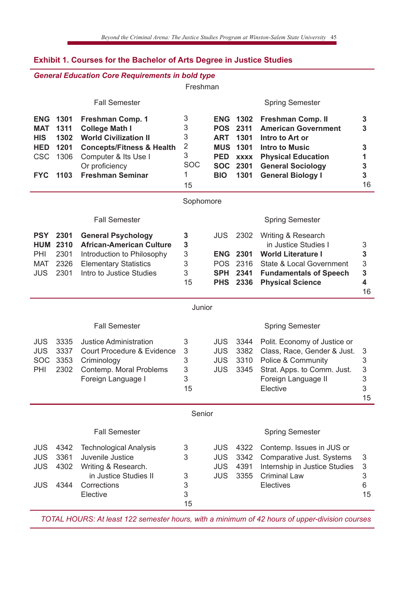| <b>General Education Core Requirements in bold type</b> |                                                         |                                                                                                                                                                                        |                                                             |                                                      |                                                                                           |                                                                                                                                                                                  |                                  |
|---------------------------------------------------------|---------------------------------------------------------|----------------------------------------------------------------------------------------------------------------------------------------------------------------------------------------|-------------------------------------------------------------|------------------------------------------------------|-------------------------------------------------------------------------------------------|----------------------------------------------------------------------------------------------------------------------------------------------------------------------------------|----------------------------------|
|                                                         |                                                         |                                                                                                                                                                                        | Freshman                                                    |                                                      |                                                                                           |                                                                                                                                                                                  |                                  |
|                                                         |                                                         | <b>Fall Semester</b>                                                                                                                                                                   |                                                             |                                                      |                                                                                           | <b>Spring Semester</b>                                                                                                                                                           |                                  |
| MAT<br><b>HIS</b><br>HED<br><b>CSC</b><br><b>FYC</b>    | <b>ENG 1301</b><br>1311<br>1302<br>1201<br>1306<br>1103 | Freshman Comp. 1<br><b>College Math I</b><br><b>World Civilization II</b><br><b>Concepts/Fitness &amp; Health</b><br>Computer & Its Use I<br>Or proficiency<br><b>Freshman Seminar</b> | 3<br>3<br>3<br>$\overline{2}$<br>3<br><b>SOC</b><br>1<br>15 | <b>ART</b><br><b>PED</b><br><b>BIO</b>               | <b>ENG 1302</b><br>POS 2311<br>1301<br><b>MUS 1301</b><br><b>XXXX</b><br>SOC 2301<br>1301 | Freshman Comp. II<br><b>American Government</b><br>Intro to Art or<br><b>Intro to Music</b><br><b>Physical Education</b><br><b>General Sociology</b><br><b>General Biology I</b> | 3<br>3<br>3<br>1<br>3<br>3<br>16 |
| Sophomore                                               |                                                         |                                                                                                                                                                                        |                                                             |                                                      |                                                                                           |                                                                                                                                                                                  |                                  |
|                                                         |                                                         | <b>Fall Semester</b>                                                                                                                                                                   |                                                             |                                                      |                                                                                           | <b>Spring Semester</b>                                                                                                                                                           |                                  |
| <b>PSY</b><br>PHI<br>MAT<br>JUS                         | 2301<br><b>HUM 2310</b><br>2301<br>2326<br>2301         | <b>General Psychology</b><br><b>African-American Culture</b><br>Introduction to Philosophy<br><b>Elementary Statistics</b><br>Intro to Justice Studies                                 | 3<br>3<br>3<br>3<br>3<br>15                                 | JUS<br><b>SPH</b><br><b>PHS</b>                      | 2302<br><b>ENG 2301</b><br>POS 2316<br>2341<br>2336                                       | Writing & Research<br>in Justice Studies I<br><b>World Literature I</b><br>State & Local Government<br><b>Fundamentals of Speech</b><br><b>Physical Science</b>                  | 3<br>3<br>3<br>3<br>4<br>16      |
| Junior                                                  |                                                         |                                                                                                                                                                                        |                                                             |                                                      |                                                                                           |                                                                                                                                                                                  |                                  |
|                                                         |                                                         | <b>Fall Semester</b>                                                                                                                                                                   |                                                             |                                                      |                                                                                           | <b>Spring Semester</b>                                                                                                                                                           |                                  |
| <b>JUS</b><br><b>JUS</b><br><b>SOC</b><br>PHI           | 3335<br>3337<br>3353<br>2302                            | Justice Administration<br>Court Procedure & Evidence<br>Criminology<br>Contemp. Moral Problems<br>Foreign Language I                                                                   | 3<br>3<br>3<br>3<br>3<br>15                                 | <b>JUS</b><br><b>JUS</b><br><b>JUS</b><br><b>JUS</b> | 3344<br>3382<br>3310<br>3345                                                              | Polit. Economy of Justice or<br>Class, Race, Gender & Just.<br>Police & Community<br>Strat. Apps. to Comm. Just.<br>Foreign Language II<br>Elective                              | 3<br>3<br>3<br>3<br>3<br>15      |
|                                                         |                                                         |                                                                                                                                                                                        | Senior                                                      |                                                      |                                                                                           |                                                                                                                                                                                  |                                  |
|                                                         |                                                         | <b>Fall Semester</b>                                                                                                                                                                   |                                                             |                                                      |                                                                                           | Spring Semester                                                                                                                                                                  |                                  |
| <b>JUS</b><br><b>JUS</b><br>JUS<br><b>JUS</b>           | 4342<br>3361<br>4302<br>4344                            | <b>Technological Analysis</b><br>Juvenile Justice<br>Writing & Research.<br>in Justice Studies II<br>Corrections<br>Elective                                                           | 3<br>3<br>3<br>3<br>3<br>15                                 | <b>JUS</b><br><b>JUS</b><br><b>JUS</b><br><b>JUS</b> | 4322<br>3342<br>4391<br>3355                                                              | Contemp. Issues in JUS or<br>Comparative Just. Systems<br>Internship in Justice Studies<br><b>Criminal Law</b><br>Electives                                                      | 3<br>3<br>3<br>6<br>15           |

# **Exhibit 1. Courses for the Bachelor of Arts Degree in Justice Studies**

*TOTAL HOURS: At least 122 semester hours, with a minimum of 42 hours of upper-division courses*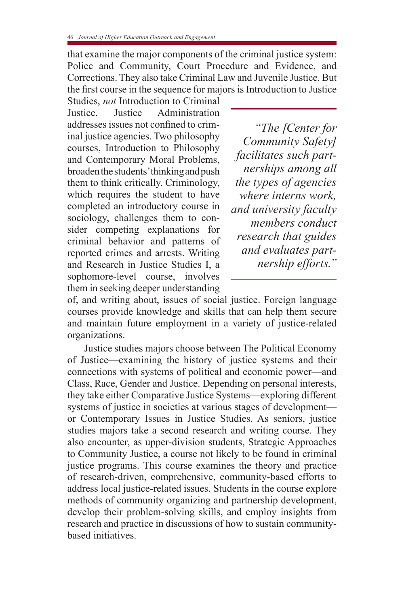that examine the major components of the criminal justice system: Police and Community, Court Procedure and Evidence, and Corrections. They also take Criminal Law and Juvenile Justice. But the first course in the sequence for majors is Introduction to Justice

Studies, *not* Introduction to Criminal Justice. Justice Administration addresses issues not confined to criminal justice agencies. Two philosophy courses, Introduction to Philosophy and Contemporary Moral Problems, broaden the students' thinking and push them to think critically. Criminology, which requires the student to have completed an introductory course in sociology, challenges them to consider competing explanations for criminal behavior and patterns of reported crimes and arrests. Writing and Research in Justice Studies I, a sophomore-level course, involves them in seeking deeper understanding

*"The [Center for Community Safety] facilitates such partnerships among all the types of agencies where interns work, and university faculty members conduct research that guides and evaluates partnership efforts."*

of, and writing about, issues of social justice. Foreign language courses provide knowledge and skills that can help them secure and maintain future employment in a variety of justice-related organizations.

Justice studies majors choose between The Political Economy of Justice—examining the history of justice systems and their connections with systems of political and economic power—and Class, Race, Gender and Justice. Depending on personal interests, they take either Comparative Justice Systems—exploring different systems of justice in societies at various stages of development or Contemporary Issues in Justice Studies. As seniors, justice studies majors take a second research and writing course. They also encounter, as upper-division students, Strategic Approaches to Community Justice, a course not likely to be found in criminal justice programs. This course examines the theory and practice of research-driven, comprehensive, community-based efforts to address local justice-related issues. Students in the course explore methods of community organizing and partnership development, develop their problem-solving skills, and employ insights from research and practice in discussions of how to sustain communitybased initiatives.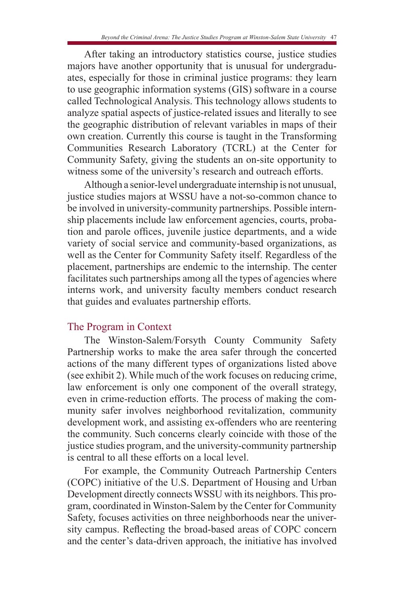After taking an introductory statistics course, justice studies majors have another opportunity that is unusual for undergraduates, especially for those in criminal justice programs: they learn to use geographic information systems (GIS) software in a course called Technological Analysis. This technology allows students to analyze spatial aspects of justice-related issues and literally to see the geographic distribution of relevant variables in maps of their own creation. Currently this course is taught in the Transforming Communities Research Laboratory (TCRL) at the Center for Community Safety, giving the students an on-site opportunity to witness some of the university's research and outreach efforts.

Although a senior-level undergraduate internship is not unusual, justice studies majors at WSSU have a not-so-common chance to be involved in university-community partnerships. Possible internship placements include law enforcement agencies, courts, probation and parole offices, juvenile justice departments, and a wide variety of social service and community-based organizations, as well as the Center for Community Safety itself. Regardless of the placement, partnerships are endemic to the internship. The center facilitates such partnerships among all the types of agencies where interns work, and university faculty members conduct research that guides and evaluates partnership efforts.

## The Program in Context

The Winston-Salem/Forsyth County Community Safety Partnership works to make the area safer through the concerted actions of the many different types of organizations listed above (see exhibit 2). While much of the work focuses on reducing crime, law enforcement is only one component of the overall strategy, even in crime-reduction efforts. The process of making the community safer involves neighborhood revitalization, community development work, and assisting ex-offenders who are reentering the community. Such concerns clearly coincide with those of the justice studies program, and the university-community partnership is central to all these efforts on a local level.

For example, the Community Outreach Partnership Centers (COPC) initiative of the U.S. Department of Housing and Urban Development directly connects WSSU with its neighbors. This program, coordinated in Winston-Salem by the Center for Community Safety, focuses activities on three neighborhoods near the university campus. Reflecting the broad-based areas of COPC concern and the center's data-driven approach, the initiative has involved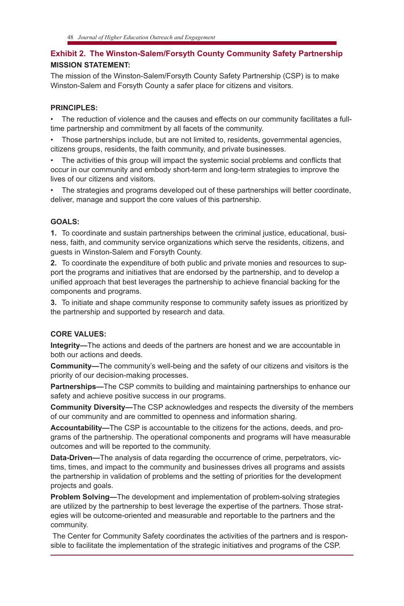## **Exhibit 2. The Winston-Salem/Forsyth County Community Safety Partnership MISSION STATEMENT:**

The mission of the Winston-Salem/Forsyth County Safety Partnership (CSP) is to make Winston-Salem and Forsyth County a safer place for citizens and visitors.

#### **PRINCIPLES:**

• The reduction of violence and the causes and effects on our community facilitates a fulltime partnership and commitment by all facets of the community.

• Those partnerships include, but are not limited to, residents, governmental agencies, citizens groups, residents, the faith community, and private businesses.

• The activities of this group will impact the systemic social problems and conflicts that occur in our community and embody short-term and long-term strategies to improve the lives of our citizens and visitors.

• The strategies and programs developed out of these partnerships will better coordinate, deliver, manage and support the core values of this partnership.

#### **GOALS:**

**1.** To coordinate and sustain partnerships between the criminal justice, educational, business, faith, and community service organizations which serve the residents, citizens, and guests in Winston-Salem and Forsyth County.

**2.** To coordinate the expenditure of both public and private monies and resources to support the programs and initiatives that are endorsed by the partnership, and to develop a unified approach that best leverages the partnership to achieve financial backing for the components and programs.

**3.** To initiate and shape community response to community safety issues as prioritized by the partnership and supported by research and data.

#### **CORE VALUES:**

**Integrity—**The actions and deeds of the partners are honest and we are accountable in both our actions and deeds.

**Community—**The community's well-being and the safety of our citizens and visitors is the priority of our decision-making processes.

**Partnerships—**The CSP commits to building and maintaining partnerships to enhance our safety and achieve positive success in our programs.

**Community Diversity—**The CSP acknowledges and respects the diversity of the members of our community and are committed to openness and information sharing.

**Accountability—**The CSP is accountable to the citizens for the actions, deeds, and programs of the partnership. The operational components and programs will have measurable outcomes and will be reported to the community.

**Data-Driven—**The analysis of data regarding the occurrence of crime, perpetrators, victims, times, and impact to the community and businesses drives all programs and assists the partnership in validation of problems and the setting of priorities for the development projects and goals.

**Problem Solving—**The development and implementation of problem-solving strategies are utilized by the partnership to best leverage the expertise of the partners. Those strategies will be outcome-oriented and measurable and reportable to the partners and the community.

The Center for Community Safety coordinates the activities of the partners and is responsible to facilitate the implementation of the strategic initiatives and programs of the CSP.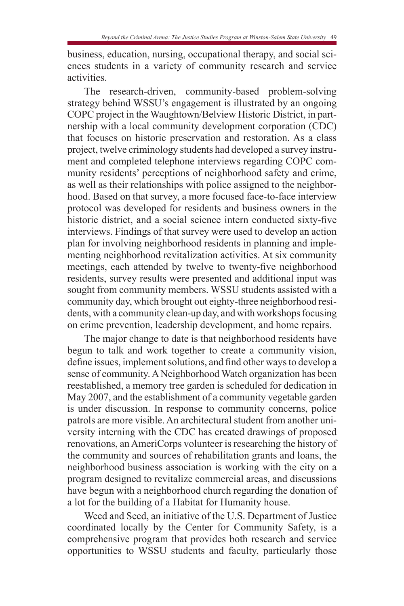business, education, nursing, occupational therapy, and social sciences students in a variety of community research and service activities.

The research-driven, community-based problem-solving strategy behind WSSU's engagement is illustrated by an ongoing COPC project in the Waughtown/Belview Historic District, in partnership with a local community development corporation (CDC) that focuses on historic preservation and restoration. As a class project, twelve criminology students had developed a survey instrument and completed telephone interviews regarding COPC community residents' perceptions of neighborhood safety and crime, as well as their relationships with police assigned to the neighborhood. Based on that survey, a more focused face-to-face interview protocol was developed for residents and business owners in the historic district, and a social science intern conducted sixty-five interviews. Findings of that survey were used to develop an action plan for involving neighborhood residents in planning and implementing neighborhood revitalization activities. At six community meetings, each attended by twelve to twenty-five neighborhood residents, survey results were presented and additional input was sought from community members. WSSU students assisted with a community day, which brought out eighty-three neighborhood residents, with a community clean-up day, and with workshops focusing on crime prevention, leadership development, and home repairs.

The major change to date is that neighborhood residents have begun to talk and work together to create a community vision, define issues, implement solutions, and find other ways to develop a sense of community. A Neighborhood Watch organization has been reestablished, a memory tree garden is scheduled for dedication in May 2007, and the establishment of a community vegetable garden is under discussion. In response to community concerns, police patrols are more visible. An architectural student from another university interning with the CDC has created drawings of proposed renovations, an AmeriCorps volunteer is researching the history of the community and sources of rehabilitation grants and loans, the neighborhood business association is working with the city on a program designed to revitalize commercial areas, and discussions have begun with a neighborhood church regarding the donation of a lot for the building of a Habitat for Humanity house.

Weed and Seed, an initiative of the U.S. Department of Justice coordinated locally by the Center for Community Safety, is a comprehensive program that provides both research and service opportunities to WSSU students and faculty, particularly those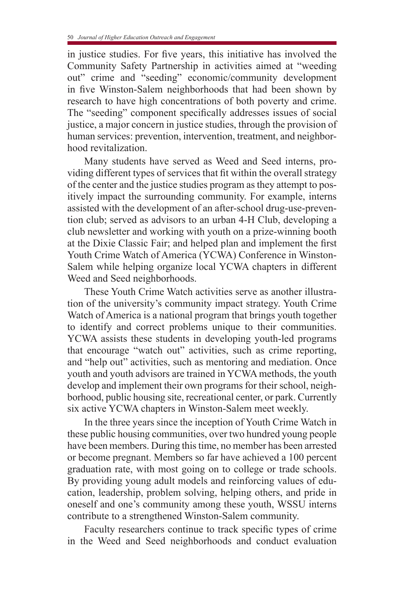in justice studies. For five years, this initiative has involved the Community Safety Partnership in activities aimed at "weeding out" crime and "seeding" economic/community development in five Winston-Salem neighborhoods that had been shown by research to have high concentrations of both poverty and crime. The "seeding" component specifically addresses issues of social justice, a major concern in justice studies, through the provision of human services: prevention, intervention, treatment, and neighborhood revitalization.

Many students have served as Weed and Seed interns, providing different types of services that fit within the overall strategy of the center and the justice studies program as they attempt to positively impact the surrounding community. For example, interns assisted with the development of an after-school drug-use-prevention club; served as advisors to an urban 4-H Club, developing a club newsletter and working with youth on a prize-winning booth at the Dixie Classic Fair; and helped plan and implement the first Youth Crime Watch of America (YCWA) Conference in Winston-Salem while helping organize local YCWA chapters in different Weed and Seed neighborhoods.

These Youth Crime Watch activities serve as another illustration of the university's community impact strategy. Youth Crime Watch of America is a national program that brings youth together to identify and correct problems unique to their communities. YCWA assists these students in developing youth-led programs that encourage "watch out" activities, such as crime reporting, and "help out" activities, such as mentoring and mediation. Once youth and youth advisors are trained in YCWA methods, the youth develop and implement their own programs for their school, neighborhood, public housing site, recreational center, or park. Currently six active YCWA chapters in Winston-Salem meet weekly.

In the three years since the inception of Youth Crime Watch in these public housing communities, over two hundred young people have been members. During this time, no member has been arrested or become pregnant. Members so far have achieved a 100 percent graduation rate, with most going on to college or trade schools. By providing young adult models and reinforcing values of education, leadership, problem solving, helping others, and pride in oneself and one's community among these youth, WSSU interns contribute to a strengthened Winston-Salem community.

Faculty researchers continue to track specific types of crime in the Weed and Seed neighborhoods and conduct evaluation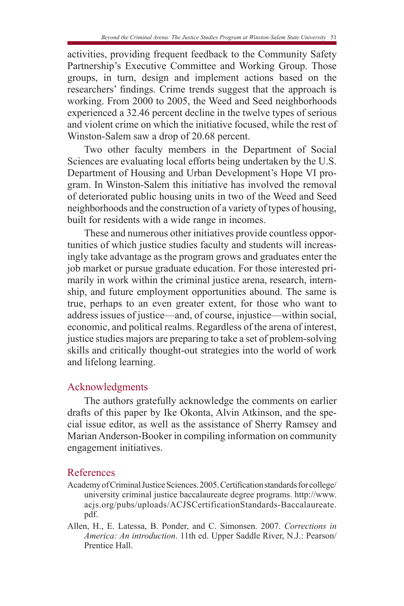activities, providing frequent feedback to the Community Safety Partnership's Executive Committee and Working Group. Those groups, in turn, design and implement actions based on the researchers' findings. Crime trends suggest that the approach is working. From 2000 to 2005, the Weed and Seed neighborhoods experienced a 32.46 percent decline in the twelve types of serious and violent crime on which the initiative focused, while the rest of Winston-Salem saw a drop of 20.68 percent.

Two other faculty members in the Department of Social Sciences are evaluating local efforts being undertaken by the U.S. Department of Housing and Urban Development's Hope VI program. In Winston-Salem this initiative has involved the removal of deteriorated public housing units in two of the Weed and Seed neighborhoods and the construction of a variety of types of housing, built for residents with a wide range in incomes.

These and numerous other initiatives provide countless opportunities of which justice studies faculty and students will increasingly take advantage as the program grows and graduates enter the job market or pursue graduate education. For those interested primarily in work within the criminal justice arena, research, internship, and future employment opportunities abound. The same is true, perhaps to an even greater extent, for those who want to address issues of justice—and, of course, injustice—within social, economic, and political realms. Regardless of the arena of interest, justice studies majors are preparing to take a set of problem-solving skills and critically thought-out strategies into the world of work and lifelong learning.

# Acknowledgments

The authors gratefully acknowledge the comments on earlier drafts of this paper by Ike Okonta, Alvin Atkinson, and the special issue editor, as well as the assistance of Sherry Ramsey and Marian Anderson-Booker in compiling information on community engagement initiatives.

# References

- Academy of Criminal Justice Sciences. 2005. Certification standards for college/ university criminal justice baccalaureate degree programs. http://www. acjs.org/pubs/uploads/ACJSCertificationStandards-Baccalaureate. pdf.
- Allen, H., E. Latessa, B. Ponder, and C. Simonsen. 2007. *Corrections in America: An introduction*. 11th ed. Upper Saddle River, N.J.: Pearson/ Prentice Hall.